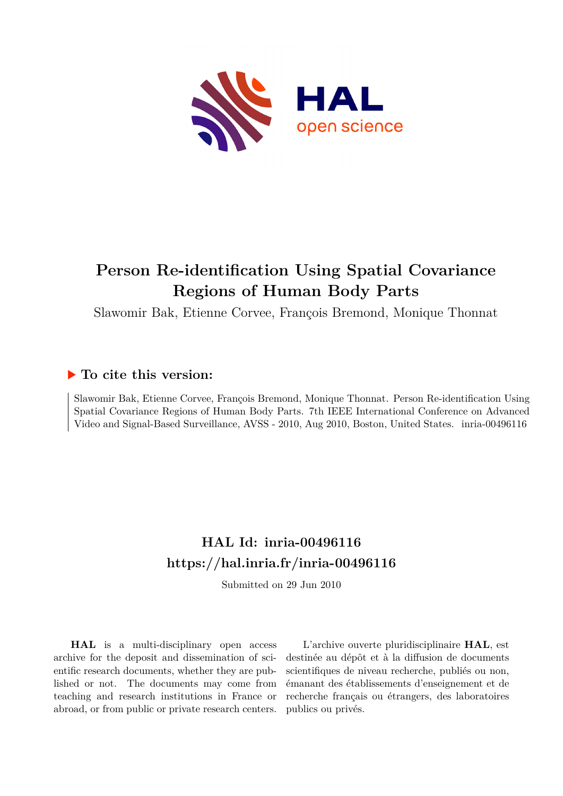

# **Person Re-identification Using Spatial Covariance Regions of Human Body Parts**

Slawomir Bak, Etienne Corvee, François Bremond, Monique Thonnat

# **To cite this version:**

Slawomir Bak, Etienne Corvee, François Bremond, Monique Thonnat. Person Re-identification Using Spatial Covariance Regions of Human Body Parts. 7th IEEE International Conference on Advanced Video and Signal-Based Surveillance, AVSS - 2010, Aug 2010, Boston, United States. inria-00496116

# **HAL Id: inria-00496116 <https://hal.inria.fr/inria-00496116>**

Submitted on 29 Jun 2010

**HAL** is a multi-disciplinary open access archive for the deposit and dissemination of scientific research documents, whether they are published or not. The documents may come from teaching and research institutions in France or abroad, or from public or private research centers.

L'archive ouverte pluridisciplinaire **HAL**, est destinée au dépôt et à la diffusion de documents scientifiques de niveau recherche, publiés ou non, émanant des établissements d'enseignement et de recherche français ou étrangers, des laboratoires publics ou privés.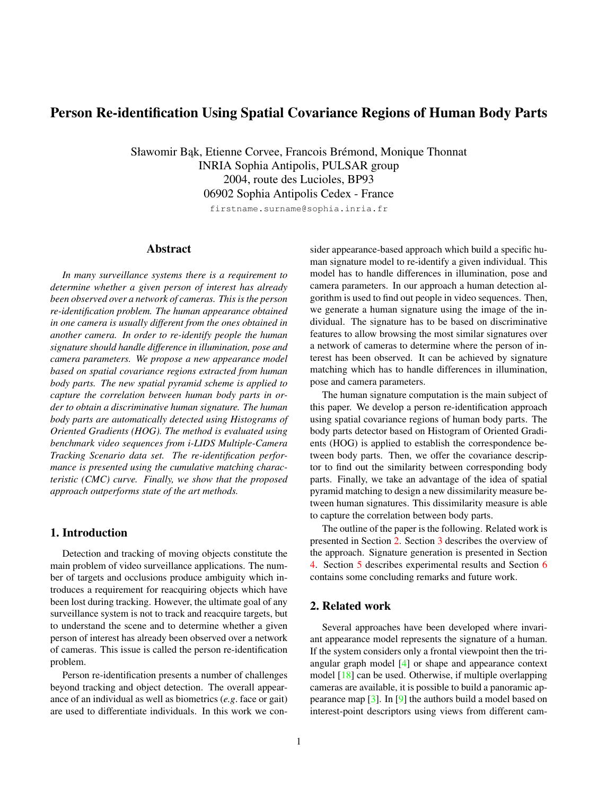# <span id="page-1-1"></span>Person Re-identification Using Spatial Covariance Regions of Human Body Parts

Sławomir Bąk, Etienne Corvee, Francois Brémond, Monique Thonnat INRIA Sophia Antipolis, PULSAR group 2004, route des Lucioles, BP93 06902 Sophia Antipolis Cedex - France

firstname.surname@sophia.inria.fr

#### Abstract

*In many surveillance systems there is a requirement to determine whether a given person of interest has already been observed over a network of cameras. This is the person re-identification problem. The human appearance obtained in one camera is usually different from the ones obtained in another camera. In order to re-identify people the human signature should handle difference in illumination, pose and camera parameters. We propose a new appearance model based on spatial covariance regions extracted from human body parts. The new spatial pyramid scheme is applied to capture the correlation between human body parts in order to obtain a discriminative human signature. The human body parts are automatically detected using Histograms of Oriented Gradients (HOG). The method is evaluated using benchmark video sequences from i-LIDS Multiple-Camera Tracking Scenario data set. The re-identification performance is presented using the cumulative matching characteristic (CMC) curve. Finally, we show that the proposed approach outperforms state of the art methods.*

# 1. Introduction

Detection and tracking of moving objects constitute the main problem of video surveillance applications. The number of targets and occlusions produce ambiguity which introduces a requirement for reacquiring objects which have been lost during tracking. However, the ultimate goal of any surveillance system is not to track and reacquire targets, but to understand the scene and to determine whether a given person of interest has already been observed over a network of cameras. This issue is called the person re-identification problem.

Person re-identification presents a number of challenges beyond tracking and object detection. The overall appearance of an individual as well as biometrics (*e.g*. face or gait) are used to differentiate individuals. In this work we consider appearance-based approach which build a specific human signature model to re-identify a given individual. This model has to handle differences in illumination, pose and camera parameters. In our approach a human detection algorithm is used to find out people in video sequences. Then, we generate a human signature using the image of the individual. The signature has to be based on discriminative features to allow browsing the most similar signatures over a network of cameras to determine where the person of interest has been observed. It can be achieved by signature matching which has to handle differences in illumination, pose and camera parameters.

The human signature computation is the main subject of this paper. We develop a person re-identification approach using spatial covariance regions of human body parts. The body parts detector based on Histogram of Oriented Gradients (HOG) is applied to establish the correspondence between body parts. Then, we offer the covariance descriptor to find out the similarity between corresponding body parts. Finally, we take an advantage of the idea of spatial pyramid matching to design a new dissimilarity measure between human signatures. This dissimilarity measure is able to capture the correlation between body parts.

The outline of the paper is the following. Related work is presented in Section [2.](#page-1-0) Section [3](#page-2-0) describes the overview of the approach. Signature generation is presented in Section [4.](#page-3-0) Section [5](#page-5-0) describes experimental results and Section [6](#page-6-0) contains some concluding remarks and future work.

# <span id="page-1-0"></span>2. Related work

Several approaches have been developed where invariant appearance model represents the signature of a human. If the system considers only a frontal viewpoint then the triangular graph model [\[4\]](#page-6-1) or shape and appearance context model [\[18\]](#page-6-2) can be used. Otherwise, if multiple overlapping cameras are available, it is possible to build a panoramic appearance map [\[3\]](#page-6-3). In [\[9\]](#page-6-4) the authors build a model based on interest-point descriptors using views from different cam-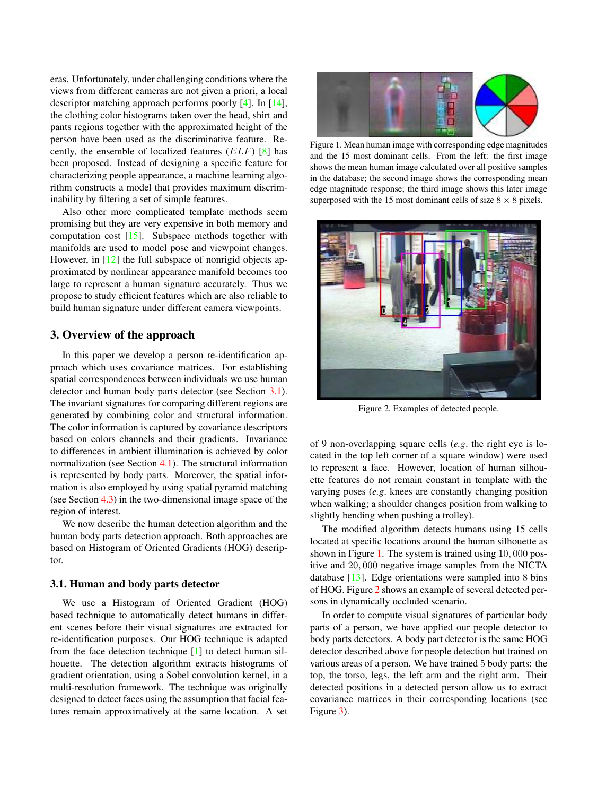<span id="page-2-3"></span>eras. Unfortunately, under challenging conditions where the views from different cameras are not given a priori, a local descriptor matching approach performs poorly [\[4\]](#page-6-1). In [\[14\]](#page-6-5), the clothing color histograms taken over the head, shirt and pants regions together with the approximated height of the person have been used as the discriminative feature. Recently, the ensemble of localized features  $(ELF)$  [\[8\]](#page-6-6) has been proposed. Instead of designing a specific feature for characterizing people appearance, a machine learning algorithm constructs a model that provides maximum discriminability by filtering a set of simple features.

Also other more complicated template methods seem promising but they are very expensive in both memory and computation cost [\[15\]](#page-6-7). Subspace methods together with manifolds are used to model pose and viewpoint changes. However, in [\[12\]](#page-6-8) the full subspace of nonrigid objects approximated by nonlinear appearance manifold becomes too large to represent a human signature accurately. Thus we propose to study efficient features which are also reliable to build human signature under different camera viewpoints.

# <span id="page-2-0"></span>3. Overview of the approach

In this paper we develop a person re-identification approach which uses covariance matrices. For establishing spatial correspondences between individuals we use human detector and human body parts detector (see Section [3.1\)](#page-2-1). The invariant signatures for comparing different regions are generated by combining color and structural information. The color information is captured by covariance descriptors based on colors channels and their gradients. Invariance to differences in ambient illumination is achieved by color normalization (see Section [4.1\)](#page-3-1). The structural information is represented by body parts. Moreover, the spatial information is also employed by using spatial pyramid matching (see Section [4.3\)](#page-4-0) in the two-dimensional image space of the region of interest.

We now describe the human detection algorithm and the human body parts detection approach. Both approaches are based on Histogram of Oriented Gradients (HOG) descriptor.

#### 3.1. Human and body parts detector

We use a Histogram of Oriented Gradient (HOG) based technique to automatically detect humans in different scenes before their visual signatures are extracted for re-identification purposes. Our HOG technique is adapted from the face detection technique [\[1\]](#page-6-9) to detect human silhouette. The detection algorithm extracts histograms of gradient orientation, using a Sobel convolution kernel, in a multi-resolution framework. The technique was originally designed to detect faces using the assumption that facial features remain approximatively at the same location. A set

<span id="page-2-2"></span>

Figure 1. Mean human image with corresponding edge magnitudes and the 15 most dominant cells. From the left: the first image shows the mean human image calculated over all positive samples in the database; the second image shows the corresponding mean edge magnitude response; the third image shows this later image superposed with the 15 most dominant cells of size  $8 \times 8$  pixels.



Figure 2. Examples of detected people.

<span id="page-2-1"></span>of 9 non-overlapping square cells (*e.g*. the right eye is located in the top left corner of a square window) were used to represent a face. However, location of human silhouette features do not remain constant in template with the varying poses (*e.g*. knees are constantly changing position when walking; a shoulder changes position from walking to slightly bending when pushing a trolley).

The modified algorithm detects humans using 15 cells located at specific locations around the human silhouette as shown in Figure [1.](#page-2-2) The system is trained using 10,000 positive and 20, 000 negative image samples from the NICTA database [\[13\]](#page-6-10). Edge orientations were sampled into 8 bins of HOG. Figure [2](#page-2-1) shows an example of several detected persons in dynamically occluded scenario.

In order to compute visual signatures of particular body parts of a person, we have applied our people detector to body parts detectors. A body part detector is the same HOG detector described above for people detection but trained on various areas of a person. We have trained 5 body parts: the top, the torso, legs, the left arm and the right arm. Their detected positions in a detected person allow us to extract covariance matrices in their corresponding locations (see Figure [3\)](#page-3-2).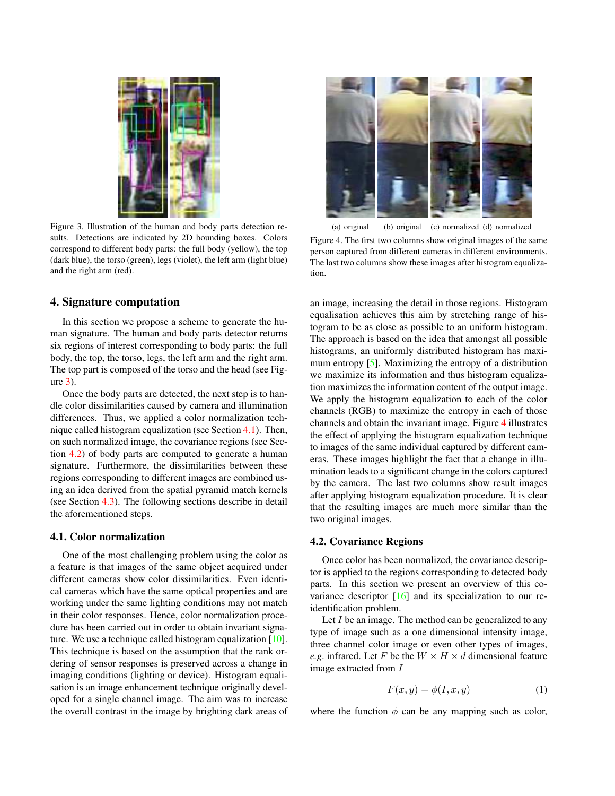<span id="page-3-5"></span>

Figure 3. Illustration of the human and body parts detection results. Detections are indicated by 2D bounding boxes. Colors correspond to different body parts: the full body (yellow), the top (dark blue), the torso (green), legs (violet), the left arm (light blue) and the right arm (red).

#### <span id="page-3-2"></span><span id="page-3-0"></span>4. Signature computation

In this section we propose a scheme to generate the human signature. The human and body parts detector returns six regions of interest corresponding to body parts: the full body, the top, the torso, legs, the left arm and the right arm. The top part is composed of the torso and the head (see Figure [3\)](#page-3-2).

Once the body parts are detected, the next step is to handle color dissimilarities caused by camera and illumination differences. Thus, we applied a color normalization technique called histogram equalization (see Section [4.1\)](#page-3-1). Then, on such normalized image, the covariance regions (see Section [4.2\)](#page-3-3) of body parts are computed to generate a human signature. Furthermore, the dissimilarities between these regions corresponding to different images are combined using an idea derived from the spatial pyramid match kernels (see Section [4.3\)](#page-4-0). The following sections describe in detail the aforementioned steps.

# <span id="page-3-1"></span>4.1. Color normalization

One of the most challenging problem using the color as a feature is that images of the same object acquired under different cameras show color dissimilarities. Even identical cameras which have the same optical properties and are working under the same lighting conditions may not match in their color responses. Hence, color normalization procedure has been carried out in order to obtain invariant signature. We use a technique called histogram equalization [\[10\]](#page-6-11). This technique is based on the assumption that the rank ordering of sensor responses is preserved across a change in imaging conditions (lighting or device). Histogram equalisation is an image enhancement technique originally developed for a single channel image. The aim was to increase the overall contrast in the image by brighting dark areas of



(a) original (b) original (c) normalized (d) normalized

<span id="page-3-4"></span>Figure 4. The first two columns show original images of the same person captured from different cameras in different environments. The last two columns show these images after histogram equalization.

an image, increasing the detail in those regions. Histogram equalisation achieves this aim by stretching range of histogram to be as close as possible to an uniform histogram. The approach is based on the idea that amongst all possible histograms, an uniformly distributed histogram has maximum entropy [\[5\]](#page-6-12). Maximizing the entropy of a distribution we maximize its information and thus histogram equalization maximizes the information content of the output image. We apply the histogram equalization to each of the color channels (RGB) to maximize the entropy in each of those channels and obtain the invariant image. Figure [4](#page-3-4) illustrates the effect of applying the histogram equalization technique to images of the same individual captured by different cameras. These images highlight the fact that a change in illumination leads to a significant change in the colors captured by the camera. The last two columns show result images after applying histogram equalization procedure. It is clear that the resulting images are much more similar than the two original images.

## <span id="page-3-3"></span>4.2. Covariance Regions

Once color has been normalized, the covariance descriptor is applied to the regions corresponding to detected body parts. In this section we present an overview of this co-variance descriptor [\[16\]](#page-6-13) and its specialization to our reidentification problem.

Let  $I$  be an image. The method can be generalized to any type of image such as a one dimensional intensity image, three channel color image or even other types of images, *e.g.* infrared. Let F be the  $W \times H \times d$  dimensional feature image extracted from I

$$
F(x, y) = \phi(I, x, y)
$$
 (1)

where the function  $\phi$  can be any mapping such as color,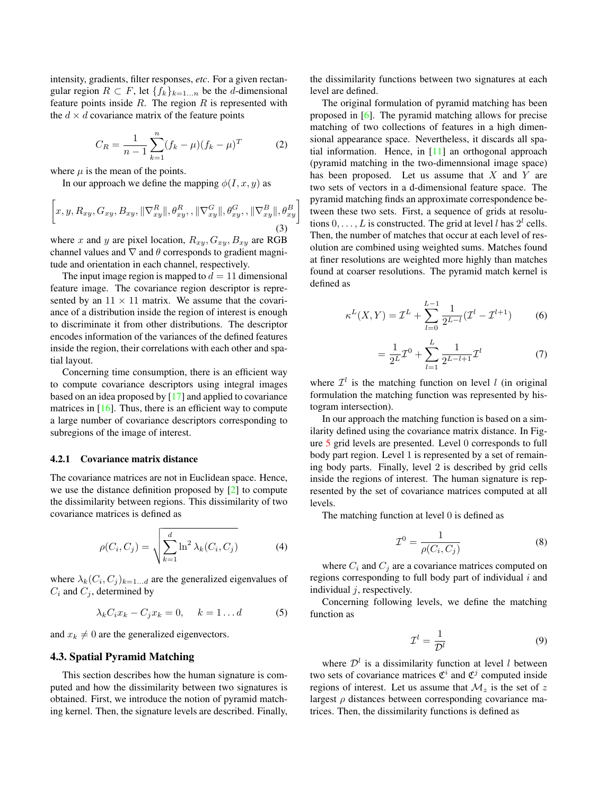<span id="page-4-2"></span>intensity, gradients, filter responses, *etc*. For a given rectangular region  $R \subset F$ , let  $\{f_k\}_{k=1...n}$  be the *d*-dimensional feature points inside  $R$ . The region  $R$  is represented with the  $d \times d$  covariance matrix of the feature points

$$
C_R = \frac{1}{n-1} \sum_{k=1}^{n} (f_k - \mu)(f_k - \mu)^T
$$
 (2)

where  $\mu$  is the mean of the points.

In our approach we define the mapping  $\phi(I, x, y)$  as

$$
\left[x, y, R_{xy}, G_{xy}, B_{xy}, \|\nabla_{xy}^R\|, \theta_{xy}^R, , \|\nabla_{xy}^G\|, \theta_{xy}^G, , \|\nabla_{xy}^B\|, \theta_{xy}^B\right]
$$
\n(3)

where x and y are pixel location,  $R_{xy}$ ,  $G_{xy}$ ,  $B_{xy}$  are RGB channel values and  $\nabla$  and  $\theta$  corresponds to gradient magnitude and orientation in each channel, respectively.

The input image region is mapped to  $d = 11$  dimensional feature image. The covariance region descriptor is represented by an  $11 \times 11$  matrix. We assume that the covariance of a distribution inside the region of interest is enough to discriminate it from other distributions. The descriptor encodes information of the variances of the defined features inside the region, their correlations with each other and spatial layout.

Concerning time consumption, there is an efficient way to compute covariance descriptors using integral images based on an idea proposed by [\[17\]](#page-6-14) and applied to covariance matrices in  $[16]$ . Thus, there is an efficient way to compute a large number of covariance descriptors corresponding to subregions of the image of interest.

#### 4.2.1 Covariance matrix distance

The covariance matrices are not in Euclidean space. Hence, we use the distance definition proposed by [\[2\]](#page-6-15) to compute the dissimilarity between regions. This dissimilarity of two covariance matrices is defined as

$$
\rho(C_i, C_j) = \sqrt{\sum_{k=1}^d \ln^2 \lambda_k(C_i, C_j)}
$$
\n(4)

where  $\lambda_k(C_i, C_j)_{k=1...d}$  are the generalized eigenvalues of  $C_i$  and  $C_j$ , determined by

$$
\lambda_k C_i x_k - C_j x_k = 0, \quad k = 1 \dots d \tag{5}
$$

and  $x_k \neq 0$  are the generalized eigenvectors.

# <span id="page-4-0"></span>4.3. Spatial Pyramid Matching

This section describes how the human signature is computed and how the dissimilarity between two signatures is obtained. First, we introduce the notion of pyramid matching kernel. Then, the signature levels are described. Finally,

the dissimilarity functions between two signatures at each level are defined.

The original formulation of pyramid matching has been proposed in [\[6\]](#page-6-16). The pyramid matching allows for precise matching of two collections of features in a high dimensional appearance space. Nevertheless, it discards all spatial information. Hence, in [\[11\]](#page-6-17) an orthogonal approach (pyramid matching in the two-dimennsional image space) has been proposed. Let us assume that  $X$  and  $Y$  are two sets of vectors in a d-dimensional feature space. The pyramid matching finds an approximate correspondence between these two sets. First, a sequence of grids at resolutions  $0, \ldots, L$  is constructed. The grid at level *l* has  $2^l$  cells. Then, the number of matches that occur at each level of resolution are combined using weighted sums. Matches found at finer resolutions are weighted more highly than matches found at coarser resolutions. The pyramid match kernel is defined as

$$
\kappa^{L}(X,Y) = \mathcal{I}^{L} + \sum_{l=0}^{L-1} \frac{1}{2^{L-l}} (\mathcal{I}^{l} - \mathcal{I}^{l+1})
$$
 (6)

<span id="page-4-1"></span>
$$
=\frac{1}{2^L}\mathcal{I}^0+\sum_{l=1}^L\frac{1}{2^{L-l+1}}\mathcal{I}^l
$$
 (7)

where  $\mathcal{I}^l$  is the matching function on level l (in original formulation the matching function was represented by histogram intersection).

In our approach the matching function is based on a similarity defined using the covariance matrix distance. In Figure [5](#page-5-1) grid levels are presented. Level 0 corresponds to full body part region. Level 1 is represented by a set of remaining body parts. Finally, level 2 is described by grid cells inside the regions of interest. The human signature is represented by the set of covariance matrices computed at all levels.

The matching function at level 0 is defined as

$$
\mathcal{I}^0 = \frac{1}{\rho(C_i, C_j)}\tag{8}
$$

where  $C_i$  and  $C_j$  are a covariance matrices computed on regions corresponding to full body part of individual  $i$  and individual  $j$ , respectively.

Concerning following levels, we define the matching function as

$$
\mathcal{I}^l = \frac{1}{\mathcal{D}^l} \tag{9}
$$

where  $\mathcal{D}^l$  is a dissimilarity function at level l between two sets of covariance matrices  $\mathfrak{C}^i$  and  $\mathfrak{C}^j$  computed inside regions of interest. Let us assume that  $\mathcal{M}_z$  is the set of z largest  $\rho$  distances between corresponding covariance matrices. Then, the dissimilarity functions is defined as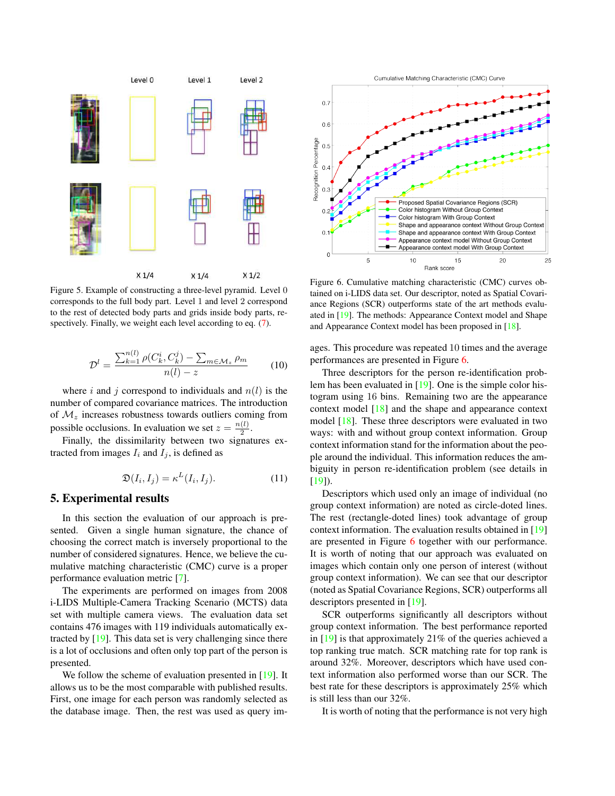<span id="page-5-3"></span>

<span id="page-5-1"></span>Figure 5. Example of constructing a three-level pyramid. Level 0 corresponds to the full body part. Level 1 and level 2 correspond to the rest of detected body parts and grids inside body parts, respectively. Finally, we weight each level according to eq.  $(7)$ .

$$
\mathcal{D}^{l} = \frac{\sum_{k=1}^{n(l)} \rho(C_k^i, C_k^j) - \sum_{m \in \mathcal{M}_z} \rho_m}{n(l) - z}
$$
(10)

where i and j correspond to individuals and  $n(l)$  is the number of compared covariance matrices. The introduction of  $\mathcal{M}_z$  increases robustness towards outliers coming from possible occlusions. In evaluation we set  $z = \frac{n(l)}{2}$  $rac{(t)}{2}$ .

Finally, the dissimilarity between two signatures extracted from images  $I_i$  and  $I_j$ , is defined as

$$
\mathfrak{D}(I_i, I_j) = \kappa^L(I_i, I_j). \tag{11}
$$

### <span id="page-5-0"></span>5. Experimental results

In this section the evaluation of our approach is presented. Given a single human signature, the chance of choosing the correct match is inversely proportional to the number of considered signatures. Hence, we believe the cumulative matching characteristic (CMC) curve is a proper performance evaluation metric [\[7\]](#page-6-18).

The experiments are performed on images from 2008 i-LIDS Multiple-Camera Tracking Scenario (MCTS) data set with multiple camera views. The evaluation data set contains 476 images with 119 individuals automatically extracted by [\[19\]](#page-6-19). This data set is very challenging since there is a lot of occlusions and often only top part of the person is presented.

We follow the scheme of evaluation presented in [\[19\]](#page-6-19). It allows us to be the most comparable with published results. First, one image for each person was randomly selected as the database image. Then, the rest was used as query im-



<span id="page-5-2"></span>Figure 6. Cumulative matching characteristic (CMC) curves obtained on i-LIDS data set. Our descriptor, noted as Spatial Covariance Regions (SCR) outperforms state of the art methods evaluated in [\[19\]](#page-6-19). The methods: Appearance Context model and Shape and Appearance Context model has been proposed in [\[18\]](#page-6-2).

ages. This procedure was repeated 10 times and the average performances are presented in Figure [6.](#page-5-2)

Three descriptors for the person re-identification problem has been evaluated in [\[19\]](#page-6-19). One is the simple color histogram using 16 bins. Remaining two are the appearance context model [\[18\]](#page-6-2) and the shape and appearance context model [\[18\]](#page-6-2). These three descriptors were evaluated in two ways: with and without group context information. Group context information stand for the information about the people around the individual. This information reduces the ambiguity in person re-identification problem (see details in [\[19\]](#page-6-19)).

Descriptors which used only an image of individual (no group context information) are noted as circle-doted lines. The rest (rectangle-doted lines) took advantage of group context information. The evaluation results obtained in [\[19\]](#page-6-19) are presented in Figure [6](#page-5-2) together with our performance. It is worth of noting that our approach was evaluated on images which contain only one person of interest (without group context information). We can see that our descriptor (noted as Spatial Covariance Regions, SCR) outperforms all descriptors presented in [\[19\]](#page-6-19).

SCR outperforms significantly all descriptors without group context information. The best performance reported in [\[19\]](#page-6-19) is that approximately 21% of the queries achieved a top ranking true match. SCR matching rate for top rank is around 32%. Moreover, descriptors which have used context information also performed worse than our SCR. The best rate for these descriptors is approximately 25% which is still less than our 32%.

It is worth of noting that the performance is not very high